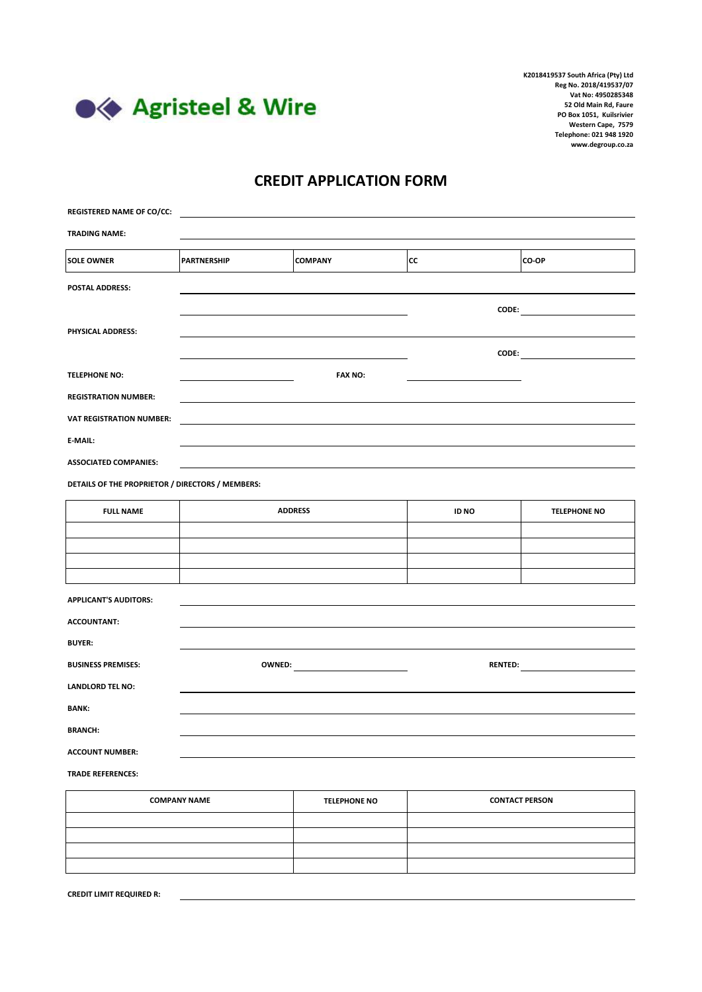

## **CREDIT APPLICATION FORM**

| <b>REGISTERED NAME OF CO/CC:</b>                 |                     |                     |              |                                                                                                                                                                                                                                |
|--------------------------------------------------|---------------------|---------------------|--------------|--------------------------------------------------------------------------------------------------------------------------------------------------------------------------------------------------------------------------------|
| <b>TRADING NAME:</b>                             |                     |                     |              |                                                                                                                                                                                                                                |
| <b>SOLE OWNER</b>                                | <b>PARTNERSHIP</b>  | <b>COMPANY</b>      | СC           | CO-OP                                                                                                                                                                                                                          |
| POSTAL ADDRESS:                                  |                     |                     |              |                                                                                                                                                                                                                                |
|                                                  |                     |                     |              | $\mathsf{CODE:}\n$                                                                                                                                                                                                             |
| PHYSICAL ADDRESS:                                |                     |                     |              |                                                                                                                                                                                                                                |
|                                                  |                     |                     |              | CODE: the contract of the contract of the contract of the contract of the contract of the contract of the contract of the contract of the contract of the contract of the contract of the contract of the contract of the cont |
| <b>TELEPHONE NO:</b>                             |                     | <b>FAX NO:</b>      |              |                                                                                                                                                                                                                                |
| <b>REGISTRATION NUMBER:</b>                      |                     |                     |              |                                                                                                                                                                                                                                |
| <b>VAT REGISTRATION NUMBER:</b>                  |                     |                     |              |                                                                                                                                                                                                                                |
| E-MAIL:                                          |                     |                     |              |                                                                                                                                                                                                                                |
| <b>ASSOCIATED COMPANIES:</b>                     |                     |                     |              |                                                                                                                                                                                                                                |
| DETAILS OF THE PROPRIETOR / DIRECTORS / MEMBERS: |                     |                     |              |                                                                                                                                                                                                                                |
| <b>FULL NAME</b>                                 | <b>ADDRESS</b>      |                     | <b>ID NO</b> | <b>TELEPHONE NO</b>                                                                                                                                                                                                            |
|                                                  |                     |                     |              |                                                                                                                                                                                                                                |
|                                                  |                     |                     |              |                                                                                                                                                                                                                                |
|                                                  |                     |                     |              |                                                                                                                                                                                                                                |
| <b>APPLICANT'S AUDITORS:</b>                     |                     |                     |              |                                                                                                                                                                                                                                |
| <b>ACCOUNTANT:</b>                               |                     |                     |              |                                                                                                                                                                                                                                |
| <b>BUYER:</b>                                    |                     |                     |              |                                                                                                                                                                                                                                |
| <b>BUSINESS PREMISES:</b>                        |                     |                     |              |                                                                                                                                                                                                                                |
| <b>LANDLORD TEL NO:</b>                          |                     |                     |              |                                                                                                                                                                                                                                |
| <b>BANK:</b>                                     |                     |                     |              |                                                                                                                                                                                                                                |
| <b>BRANCH:</b>                                   |                     |                     |              |                                                                                                                                                                                                                                |
| <b>ACCOUNT NUMBER:</b>                           |                     |                     |              |                                                                                                                                                                                                                                |
| <b>TRADE REFERENCES:</b>                         |                     |                     |              |                                                                                                                                                                                                                                |
|                                                  | <b>COMPANY NAME</b> | <b>TELEPHONE NO</b> |              | <b>CONTACT PERSON</b>                                                                                                                                                                                                          |
|                                                  |                     |                     |              |                                                                                                                                                                                                                                |

| <b>COMPANY NAME</b> | <b>TELEPHONE NO</b> | <b>CONTACT PERSON</b> |
|---------------------|---------------------|-----------------------|
|                     |                     |                       |
|                     |                     |                       |
|                     |                     |                       |
|                     |                     |                       |
|                     |                     |                       |

**CREDIT LIMIT REQUIRED R:**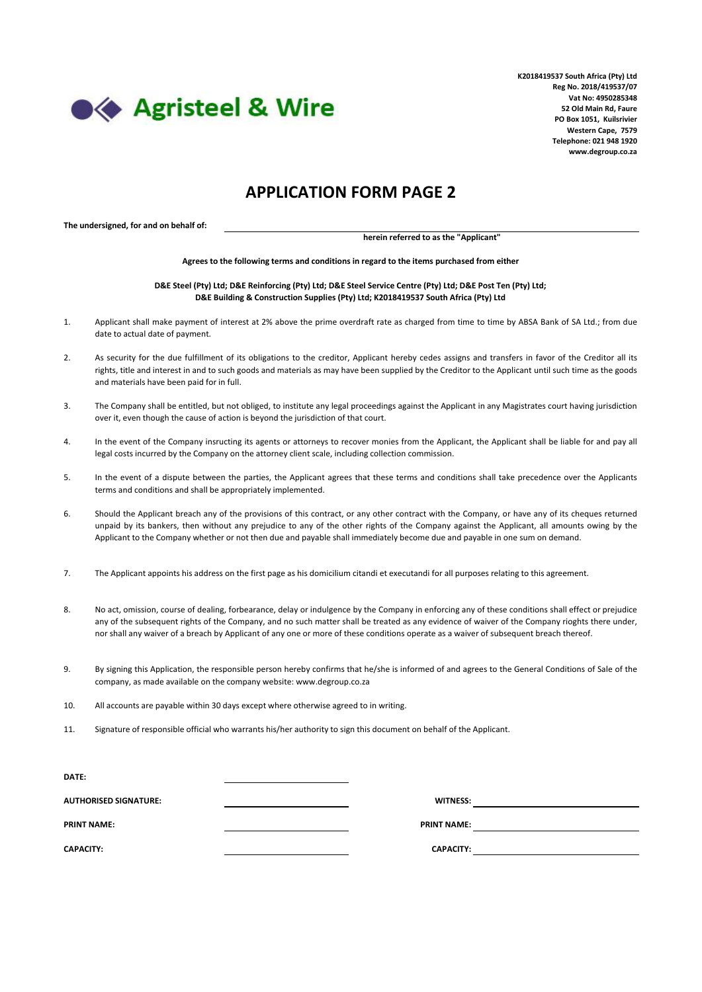

## **APPLICATION FORM PAGE 2**

**The undersigned, for and on behalf of:**

**herein referred to as the "Applicant"**

**Agrees to the following terms and conditions in regard to the items purchased from either**

**D&E Steel (Pty) Ltd; D&E Reinforcing (Pty) Ltd; D&E Steel Service Centre (Pty) Ltd; D&E Post Ten (Pty) Ltd; D&E Building & Construction Supplies (Pty) Ltd; K2018419537 South Africa (Pty) Ltd**

- 1. Applicant shall make payment of interest at 2% above the prime overdraft rate as charged from time to time by ABSA Bank of SA Ltd.; from due date to actual date of payment.
- $2.5$ As security for the due fulfillment of its obligations to the creditor, Applicant hereby cedes assigns and transfers in favor of the Creditor all its rights, title and interest in and to such goods and materials as may have been supplied by the Creditor to the Applicant until such time as the goods and materials have been paid for in full.
- 3. The Company shall be entitled, but not obliged, to institute any legal proceedings against the Applicant in any Magistrates court having jurisdiction over it, even though the cause of action is beyond the jurisdiction of that court.
- 4. In the event of the Company insructing its agents or attorneys to recover monies from the Applicant, the Applicant shall be liable for and pay all legal costs incurred by the Company on the attorney client scale, including collection commission.
- 5. In the event of a dispute between the parties, the Applicant agrees that these terms and conditions shall take precedence over the Applicants terms and conditions and shall be appropriately implemented.
- 6. Should the Applicant breach any of the provisions of this contract, or any other contract with the Company, or have any of its cheques returned unpaid by its bankers, then without any prejudice to any of the other rights of the Company against the Applicant, all amounts owing by the Applicant to the Company whether or not then due and payable shall immediately become due and payable in one sum on demand.
- 7. The Applicant appoints his address on the first page as his domicilium citandi et executandi for all purposes relating to this agreement.
- 8. No act, omission, course of dealing, forbearance, delay or indulgence by the Company in enforcing any of these conditions shall effect or prejudice any of the subsequent rights of the Company, and no such matter shall be treated as any evidence of waiver of the Company rioghts there under, nor shall any waiver of a breach by Applicant of any one or more of these conditions operate as a waiver of subsequent breach thereof.
- 9. By signing this Application, the responsible person hereby confirms that he/she is informed of and agrees to the General Conditions of Sale of the company, as made available on the company website: www.degroup.co.za
- 10. All accounts are payable within 30 days except where otherwise agreed to in writing.
- 11. Signature of responsible official who warrants his/her authority to sign this document on behalf of the Applicant.

| <b>DATE:</b>                 |                    |  |
|------------------------------|--------------------|--|
| <b>AUTHORISED SIGNATURE:</b> | <b>WITNESS:</b>    |  |
| <b>PRINT NAME:</b>           | <b>PRINT NAME:</b> |  |
| <b>CAPACITY:</b>             | <b>CAPACITY:</b>   |  |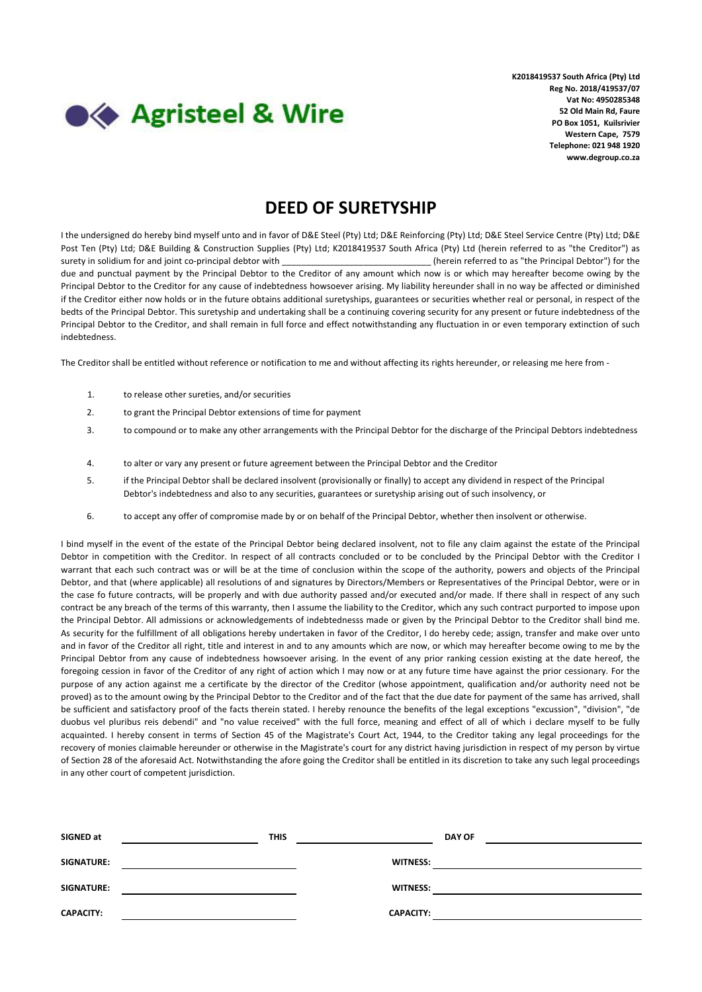

## **DEED OF SURETYSHIP**

I the undersigned do hereby bind myself unto and in favor of D&E Steel (Pty) Ltd; D&E Reinforcing (Pty) Ltd; D&E Steel Service Centre (Pty) Ltd; D&E Post Ten (Pty) Ltd; D&E Building & Construction Supplies (Pty) Ltd; K2018419537 South Africa (Pty) Ltd (herein referred to as "the Creditor") as surety in solidium for and joint co-principal debtor with \_\_\_\_\_\_\_\_\_\_\_\_\_\_\_\_\_\_\_\_\_\_\_\_\_\_\_\_\_\_\_ (herein referred to as "the Principal Debtor") for the due and punctual payment by the Principal Debtor to the Creditor of any amount which now is or which may hereafter become owing by the Principal Debtor to the Creditor for any cause of indebtedness howsoever arising. My liability hereunder shall in no way be affected or diminished if the Creditor either now holds or in the future obtains additional suretyships, guarantees or securities whether real or personal, in respect of the bedts of the Principal Debtor. This suretyship and undertaking shall be a continuing covering security for any present or future indebtedness of the Principal Debtor to the Creditor, and shall remain in full force and effect notwithstanding any fluctuation in or even temporary extinction of such indebtedness.

The Creditor shall be entitled without reference or notification to me and without affecting its rights hereunder, or releasing me here from -

- 1. to release other sureties, and/or securities
- 2. to grant the Principal Debtor extensions of time for payment
- 3. to compound or to make any other arrangements with the Principal Debtor for the discharge of the Principal Debtors indebtedness
- 4. to alter or vary any present or future agreement between the Principal Debtor and the Creditor
- 5. if the Principal Debtor shall be declared insolvent (provisionally or finally) to accept any dividend in respect of the Principal Debtor's indebtedness and also to any securities, guarantees or suretyship arising out of such insolvency, or
- 6. to accept any offer of compromise made by or on behalf of the Principal Debtor, whether then insolvent or otherwise.

I bind myself in the event of the estate of the Principal Debtor being declared insolvent, not to file any claim against the estate of the Principal Debtor in competition with the Creditor. In respect of all contracts concluded or to be concluded by the Principal Debtor with the Creditor I warrant that each such contract was or will be at the time of conclusion within the scope of the authority, powers and objects of the Principal Debtor, and that (where applicable) all resolutions of and signatures by Directors/Members or Representatives of the Principal Debtor, were or in the case fo future contracts, will be properly and with due authority passed and/or executed and/or made. If there shall in respect of any such contract be any breach of the terms of this warranty, then I assume the liability to the Creditor, which any such contract purported to impose upon the Principal Debtor. All admissions or acknowledgements of indebtednesss made or given by the Principal Debtor to the Creditor shall bind me. As security for the fulfillment of all obligations hereby undertaken in favor of the Creditor, I do hereby cede; assign, transfer and make over unto and in favor of the Creditor all right, title and interest in and to any amounts which are now, or which may hereafter become owing to me by the Principal Debtor from any cause of indebtedness howsoever arising. In the event of any prior ranking cession existing at the date hereof, the foregoing cession in favor of the Creditor of any right of action which I may now or at any future time have against the prior cessionary. For the purpose of any action against me a certificate by the director of the Creditor (whose appointment, qualification and/or authority need not be proved) as to the amount owing by the Principal Debtor to the Creditor and of the fact that the due date for payment of the same has arrived, shall be sufficient and satisfactory proof of the facts therein stated. I hereby renounce the benefits of the legal exceptions "excussion", "division", "de duobus vel pluribus reis debendi" and "no value received" with the full force, meaning and effect of all of which i declare myself to be fully acquainted. I hereby consent in terms of Section 45 of the Magistrate's Court Act, 1944, to the Creditor taking any legal proceedings for the recovery of monies claimable hereunder or otherwise in the Magistrate's court for any district having jurisdiction in respect of my person by virtue of Section 28 of the aforesaid Act. Notwithstanding the afore going the Creditor shall be entitled in its discretion to take any such legal proceedings in any other court of competent jurisdiction.

| SIGNED at        | <b>THIS</b> |                  | <b>DAY OF</b> |
|------------------|-------------|------------------|---------------|
| SIGNATURE:       |             | <b>WITNESS:</b>  |               |
| SIGNATURE:       |             | <b>WITNESS:</b>  |               |
| <b>CAPACITY:</b> |             | <b>CAPACITY:</b> |               |